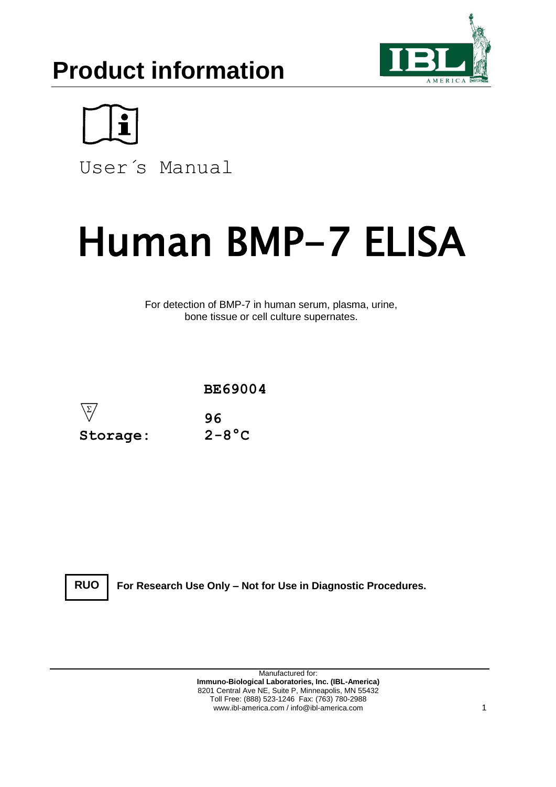# **Product information**





User´s Manual

# Human BMP-7 ELISA

For detection of BMP-7 in human serum, plasma, urine, bone tissue or cell culture supernates.





**For Research Use Only – Not for Use in Diagnostic Procedures.**

Manufactured for: **Immuno-Biological Laboratories, Inc. (IBL-America)** 8201 Central Ave NE, Suite P, Minneapolis, MN 55432 Toll Free: (888) 523-1246 Fax: (763) 780-2988 www.ibl-america.com / info@ibl-america.com 1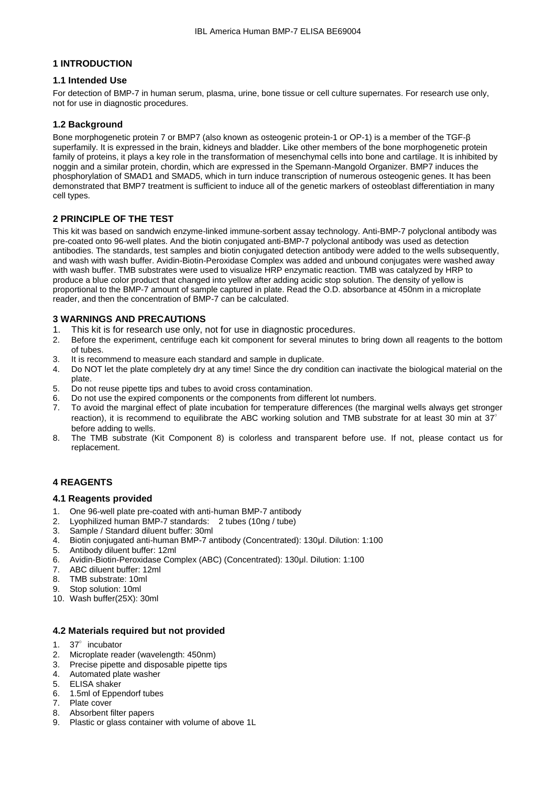# **1 INTRODUCTION**

# **1.1 Intended Use**

For detection of BMP-7 in human serum, plasma, urine, bone tissue or cell culture supernates. For research use only, not for use in diagnostic procedures.

# **1.2 Background**

Bone morphogenetic protein 7 or BMP7 (also known as osteogenic protein-1 or OP-1) is a member of the TGF-β superfamily. It is expressed in the brain, kidneys and bladder. Like other members of the bone morphogenetic protein family of proteins, it plays a key role in the transformation of mesenchymal cells into bone and cartilage. It is inhibited by noggin and a similar protein, chordin, which are expressed in the Spemann-Mangold Organizer. BMP7 induces the phosphorylation of SMAD1 and SMAD5, which in turn induce transcription of numerous osteogenic genes. It has been demonstrated that BMP7 treatment is sufficient to induce all of the genetic markers of osteoblast differentiation in many cell types.

# **2 PRINCIPLE OF THE TEST**

This kit was based on sandwich enzyme-linked immune-sorbent assay technology. Anti-BMP-7 polyclonal antibody was pre-coated onto 96-well plates. And the biotin conjugated anti-BMP-7 polyclonal antibody was used as detection antibodies. The standards, test samples and biotin conjugated detection antibody were added to the wells subsequently, and wash with wash buffer. Avidin-Biotin-Peroxidase Complex was added and unbound conjugates were washed away with wash buffer. TMB substrates were used to visualize HRP enzymatic reaction. TMB was catalyzed by HRP to produce a blue color product that changed into yellow after adding acidic stop solution. The density of yellow is proportional to the BMP-7 amount of sample captured in plate. Read the O.D. absorbance at 450nm in a microplate reader, and then the concentration of BMP-7 can be calculated.

# **3 WARNINGS AND PRECAUTIONS**

- 
- 1. This kit is for research use only, not for use in diagnostic procedures.<br>2. Before the experiment, centrifuge each kit component for several minutes to 2. Before the experiment, centrifuge each kit component for several minutes to bring down all reagents to the bottom of tubes.
- 3. It is recommend to measure each standard and sample in duplicate.
- 4. Do NOT let the plate completely dry at any time! Since the dry condition can inactivate the biological material on the plate.
- 5. Do not reuse pipette tips and tubes to avoid cross contamination.
- 6. Do not use the expired components or the components from different lot numbers.
- 7. To avoid the marginal effect of plate incubation for temperature differences (the marginal wells always get stronger reaction), it is recommend to equilibrate the ABC working solution and TMB substrate for at least 30 min at  $37^\circ$ before adding to wells.
- 8. The TMB substrate (Kit Component 8) is colorless and transparent before use. If not, please contact us for replacement.

# **4 REAGENTS**

#### **4.1 Reagents provided**

- 1. One 96-well plate pre-coated with anti-human BMP-7 antibody
- 2. Lyophilized human BMP-7 standards: 2 tubes (10ng / tube)
- 3. Sample / Standard diluent buffer: 30ml
- 4. Biotin conjugated anti-human BMP-7 antibody (Concentrated): 130μl. Dilution: 1:100
- 5. Antibody diluent buffer: 12ml
- 6. Avidin-Biotin-Peroxidase Complex (ABC) (Concentrated): 130μl. Dilution: 1:100
- 7. ABC diluent buffer: 12ml
- 8. TMB substrate: 10ml
- 9. Stop solution: 10ml
- 10. Wash buffer(25X): 30ml

# **4.2 Materials required but not provided**

- 1. 37°incubator
- 2. Microplate reader (wavelength: 450nm)
- 3. Precise pipette and disposable pipette tips
- 4. Automated plate washer
- 5. ELISA shaker
- 6. 1.5ml of Eppendorf tubes
- 7. Plate cover
- 8. Absorbent filter papers
- 9. Plastic or glass container with volume of above 1L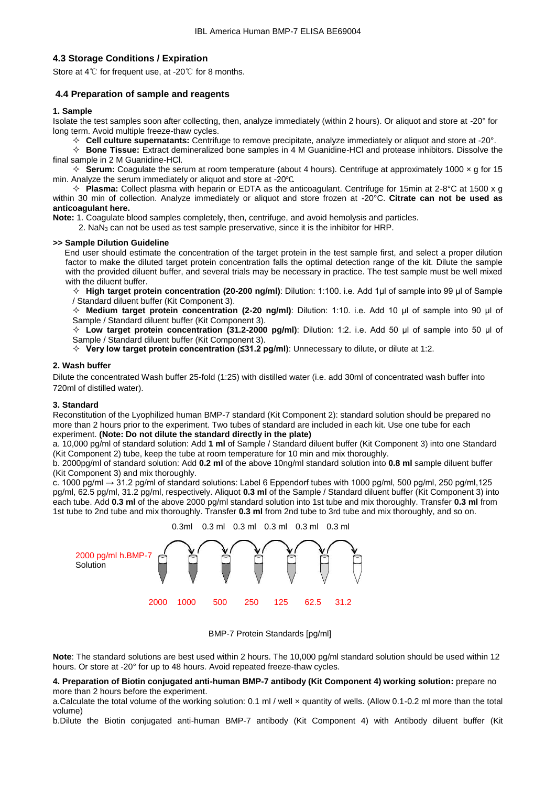#### **4.3 Storage Conditions / Expiration**

Store at 4℃ for frequent use, at -20℃ for 8 months.

#### **4.4 Preparation of sample and reagents**

#### **1. Sample**

Isolate the test samples soon after collecting, then, analyze immediately (within 2 hours). Or aliquot and store at -20° for long term. Avoid multiple freeze-thaw cycles.

**Cell culture supernatants:** Centrifuge to remove precipitate, analyze immediately or aliquot and store at -20°.

 **Bone Tissue:** Extract demineralized bone samples in 4 M Guanidine-HCl and protease inhibitors. Dissolve the final sample in 2 M Guanidine-HCl.

 $\div$  **Serum:** Coagulate the serum at room temperature (about 4 hours). Centrifuge at approximately 1000  $\times$  g for 15 min. Analyze the serum immediately or aliquot and store at -20℃.

 **Plasma:** Collect plasma with heparin or EDTA as the anticoagulant. Centrifuge for 15min at 2-8°C at 1500 x g within 30 min of collection. Analyze immediately or aliquot and store frozen at -20°C. **Citrate can not be used as anticoagulant here.**

**Note:** 1. Coagulate blood samples completely, then, centrifuge, and avoid hemolysis and particles.

2. NaN<sup>3</sup> can not be used as test sample preservative, since it is the inhibitor for HRP.

#### **>> Sample Dilution Guideline**

End user should estimate the concentration of the target protein in the test sample first, and select a proper dilution factor to make the diluted target protein concentration falls the optimal detection range of the kit. Dilute the sample with the provided diluent buffer, and several trials may be necessary in practice. The test sample must be well mixed with the diluent buffer.

 **High target protein concentration (20-200 ng/ml)**: Dilution: 1:100. i.e. Add 1μl of sample into 99 μl of Sample / Standard diluent buffer (Kit Component 3).

 **Medium target protein concentration (2-20 ng/ml)**: Dilution: 1:10. i.e. Add 10 μl of sample into 90 μl of Sample / Standard diluent buffer (Kit Component 3).

 **Low target protein concentration (31.2-2000 pg/ml)**: Dilution: 1:2. i.e. Add 50 μl of sample into 50 μl of Sample / Standard diluent buffer (Kit Component 3).

**Very low target protein concentration (≤31.2 pg/ml)**: Unnecessary to dilute, or dilute at 1:2.

#### **2. Wash buffer**

Dilute the concentrated Wash buffer 25-fold (1:25) with distilled water (i.e. add 30ml of concentrated wash buffer into 720ml of distilled water).

#### **3. Standard**

Reconstitution of the Lyophilized human BMP-7 standard (Kit Component 2): standard solution should be prepared no more than 2 hours prior to the experiment. Two tubes of standard are included in each kit. Use one tube for each experiment. **(Note: Do not dilute the standard directly in the plate)**

a. 10,000 pg/ml of standard solution: Add **1 ml** of Sample / Standard diluent buffer (Kit Component 3) into one Standard (Kit Component 2) tube, keep the tube at room temperature for 10 min and mix thoroughly.

b. 2000pg/ml of standard solution: Add **0.2 ml** of the above 10ng/ml standard solution into **0.8 ml** sample diluent buffer (Kit Component 3) and mix thoroughly.

c. 1000 pg/ml  $\rightarrow$  31.2 pg/ml of standard solutions: Label 6 Eppendorf tubes with 1000 pg/ml, 500 pg/ml, 250 pg/ml, 125 pg/ml, 62.5 pg/ml, 31.2 pg/ml, respectively. Aliquot **0.3 ml** of the Sample / Standard diluent buffer (Kit Component 3) into each tube. Add **0.3 ml** of the above 2000 pg/ml standard solution into 1st tube and mix thoroughly. Transfer **0.3 ml** from 1st tube to 2nd tube and mix thoroughly. Transfer **0.3 ml** from 2nd tube to 3rd tube and mix thoroughly, and so on.



#### BMP-7 Protein Standards [pg/ml]

**Note**: The standard solutions are best used within 2 hours. The 10,000 pg/ml standard solution should be used within 12 hours. Or store at -20° for up to 48 hours. Avoid repeated freeze-thaw cycles.

**4. Preparation of Biotin conjugated anti-human BMP-7 antibody (Kit Component 4) working solution:** prepare no more than 2 hours before the experiment.

a.Calculate the total volume of the working solution: 0.1 ml / well × quantity of wells. (Allow 0.1-0.2 ml more than the total volume)

b.Dilute the Biotin conjugated anti-human BMP-7 antibody (Kit Component 4) with Antibody diluent buffer (Kit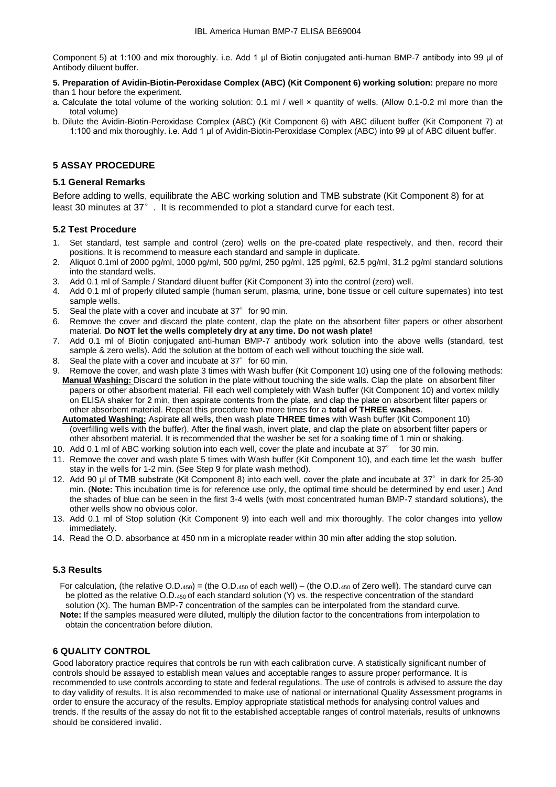Component 5) at 1:100 and mix thoroughly. i.e. Add 1 μl of Biotin conjugated anti-human BMP-7 antibody into 99 μl of Antibody diluent buffer.

#### **5. Preparation of Avidin-Biotin-Peroxidase Complex (ABC) (Kit Component 6) working solution:** prepare no more than 1 hour before the experiment.

- a. Calculate the total volume of the working solution: 0.1 ml / well x quantity of wells. (Allow 0.1-0.2 ml more than the total volume)
- b. Dilute the Avidin-Biotin-Peroxidase Complex (ABC) (Kit Component 6) with ABC diluent buffer (Kit Component 7) at 1:100 and mix thoroughly. i.e. Add 1 μl of Avidin-Biotin-Peroxidase Complex (ABC) into 99 μl of ABC diluent buffer.

# **5 ASSAY PROCEDURE**

#### **5.1 General Remarks**

Before adding to wells, equilibrate the ABC working solution and TMB substrate (Kit Component 8) for at least 30 minutes at 37°. It is recommended to plot a standard curve for each test.

# **5.2 Test Procedure**

- 1. Set standard, test sample and control (zero) wells on the pre-coated plate respectively, and then, record their positions. It is recommend to measure each standard and sample in duplicate.
- 2. Aliquot 0.1ml of 2000 pg/ml, 1000 pg/ml, 500 pg/ml, 250 pg/ml, 125 pg/ml, 62.5 pg/ml, 31.2 pg/ml standard solutions into the standard wells.
- 3. Add 0.1 ml of Sample / Standard diluent buffer (Kit Component 3) into the control (zero) well.
- 4. Add 0.1 ml of properly diluted sample (human serum, plasma, urine, bone tissue or cell culture supernates) into test sample wells.
- 5. Seal the plate with a cover and incubate at  $37^\circ$  for 90 min.
- 6. Remove the cover and discard the plate content, clap the plate on the absorbent filter papers or other absorbent material. **Do NOT let the wells completely dry at any time. Do not wash plate!**
- 7. Add 0.1 ml of Biotin conjugated anti-human BMP-7 antibody work solution into the above wells (standard, test sample & zero wells). Add the solution at the bottom of each well without touching the side wall.
- 8. Seal the plate with a cover and incubate at  $37^\circ$  for 60 min.
- 9. Remove the cover, and wash plate 3 times with Wash buffer (Kit Component 10) using one of the following methods: **Manual Washing:** Discard the solution in the plate without touching the side walls. Clap the plate on absorbent filter papers or other absorbent material. Fill each well completely with Wash buffer (Kit Component 10) and vortex mildly on ELISA shaker for 2 min, then aspirate contents from the plate, and clap the plate on absorbent filter papers or other absorbent material. Repeat this procedure two more times for a **total of THREE washes**.
	- **Automated Washing:** Aspirate all wells, then wash plate **THREE times** with Wash buffer (Kit Component 10) (overfilling wells with the buffer). After the final wash, invert plate, and clap the plate on absorbent filter papers or other absorbent material. It is recommended that the washer be set for a soaking time of 1 min or shaking.
- 10. Add 0.1 ml of ABC working solution into each well, cover the plate and incubate at 37° for 30 min.
- 11. Remove the cover and wash plate 5 times with Wash buffer (Kit Component 10), and each time let the wash buffer stay in the wells for 1-2 min. (See Step 9 for plate wash method).
- 12. Add 90 µl of TMB substrate (Kit Component 8) into each well, cover the plate and incubate at  $37^\circ$  in dark for 25-30 min. (**Note:** This incubation time is for reference use only, the optimal time should be determined by end user.) And the shades of blue can be seen in the first 3-4 wells (with most concentrated human BMP-7 standard solutions), the other wells show no obvious color.
- 13. Add 0.1 ml of Stop solution (Kit Component 9) into each well and mix thoroughly. The color changes into yellow immediately.
- 14. Read the O.D. absorbance at 450 nm in a microplate reader within 30 min after adding the stop solution.

#### **5.3 Results**

 For calculation, (the relative O.D.450) = (the O.D.<sup>450</sup> of each well) – (the O.D.<sup>450</sup> of Zero well). The standard curve can be plotted as the relative O.D.<sub>450</sub> of each standard solution (Y) vs. the respective concentration of the standard solution (X). The human BMP-7 concentration of the samples can be interpolated from the standard curve.  **Note:** If the samples measured were diluted, multiply the dilution factor to the concentrations from interpolation to obtain the concentration before dilution.

#### **6 QUALITY CONTROL**

Good laboratory practice requires that controls be run with each calibration curve. A statistically significant number of controls should be assayed to establish mean values and acceptable ranges to assure proper performance. It is recommended to use controls according to state and federal regulations. The use of controls is advised to assure the day to day validity of results. It is also recommended to make use of national or international Quality Assessment programs in order to ensure the accuracy of the results. Employ appropriate statistical methods for analysing control values and trends. If the results of the assay do not fit to the established acceptable ranges of control materials, results of unknowns should be considered invalid.